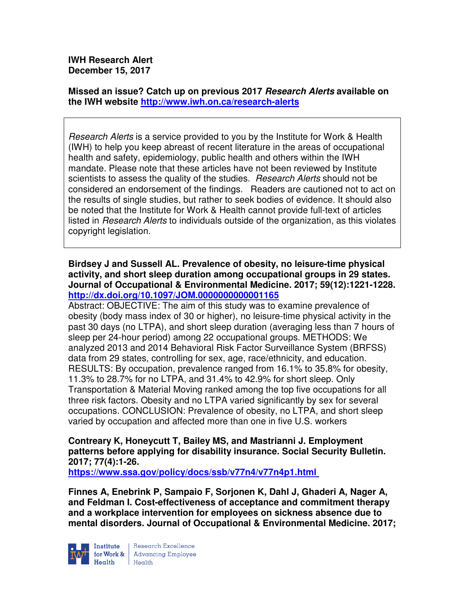**IWH Research Alert December 15, 2017** 

**Missed an issue? Catch up on previous 2017 Research Alerts available on the IWH website http://www.iwh.on.ca/research-alerts**

Research Alerts is a service provided to you by the Institute for Work & Health (IWH) to help you keep abreast of recent literature in the areas of occupational health and safety, epidemiology, public health and others within the IWH mandate. Please note that these articles have not been reviewed by Institute scientists to assess the quality of the studies. Research Alerts should not be considered an endorsement of the findings. Readers are cautioned not to act on the results of single studies, but rather to seek bodies of evidence. It should also be noted that the Institute for Work & Health cannot provide full-text of articles listed in Research Alerts to individuals outside of the organization, as this violates copyright legislation.

**Birdsey J and Sussell AL. Prevalence of obesity, no leisure-time physical activity, and short sleep duration among occupational groups in 29 states. Journal of Occupational & Environmental Medicine. 2017; 59(12):1221-1228. http://dx.doi.org/10.1097/JOM.0000000000001165** 

Abstract: OBJECTIVE: The aim of this study was to examine prevalence of obesity (body mass index of 30 or higher), no leisure-time physical activity in the past 30 days (no LTPA), and short sleep duration (averaging less than 7 hours of sleep per 24-hour period) among 22 occupational groups. METHODS: We analyzed 2013 and 2014 Behavioral Risk Factor Surveillance System (BRFSS) data from 29 states, controlling for sex, age, race/ethnicity, and education. RESULTS: By occupation, prevalence ranged from 16.1% to 35.8% for obesity, 11.3% to 28.7% for no LTPA, and 31.4% to 42.9% for short sleep. Only Transportation & Material Moving ranked among the top five occupations for all three risk factors. Obesity and no LTPA varied significantly by sex for several occupations. CONCLUSION: Prevalence of obesity, no LTPA, and short sleep varied by occupation and affected more than one in five U.S. workers

**Contreary K, Honeycutt T, Bailey MS, and Mastrianni J. Employment patterns before applying for disability insurance. Social Security Bulletin. 2017; 77(4):1-26.** 

**https://www.ssa.gov/policy/docs/ssb/v77n4/v77n4p1.html** 

**Finnes A, Enebrink P, Sampaio F, Sorjonen K, Dahl J, Ghaderi A, Nager A, and Feldman I. Cost-effectiveness of acceptance and commitment therapy and a workplace intervention for employees on sickness absence due to mental disorders. Journal of Occupational & Environmental Medicine. 2017;** 



Research Excellence **Advancing Employee** Health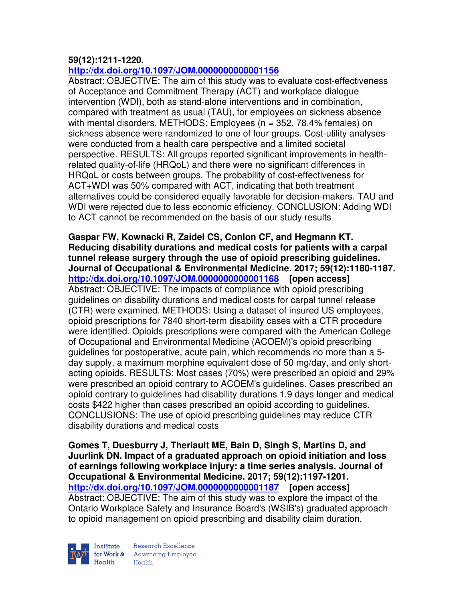# **59(12):1211-1220.**

# **http://dx.doi.org/10.1097/JOM.0000000000001156**

Abstract: OBJECTIVE: The aim of this study was to evaluate cost-effectiveness of Acceptance and Commitment Therapy (ACT) and workplace dialogue intervention (WDI), both as stand-alone interventions and in combination, compared with treatment as usual (TAU), for employees on sickness absence with mental disorders. METHODS: Employees (n = 352, 78.4% females) on sickness absence were randomized to one of four groups. Cost-utility analyses were conducted from a health care perspective and a limited societal perspective. RESULTS: All groups reported significant improvements in healthrelated quality-of-life (HRQoL) and there were no significant differences in HRQoL or costs between groups. The probability of cost-effectiveness for ACT+WDI was 50% compared with ACT, indicating that both treatment alternatives could be considered equally favorable for decision-makers. TAU and WDI were rejected due to less economic efficiency. CONCLUSION: Adding WDI to ACT cannot be recommended on the basis of our study results

**Gaspar FW, Kownacki R, Zaidel CS, Conlon CF, and Hegmann KT. Reducing disability durations and medical costs for patients with a carpal tunnel release surgery through the use of opioid prescribing guidelines. Journal of Occupational & Environmental Medicine. 2017; 59(12):1180-1187. http://dx.doi.org/10.1097/JOM.0000000000001168 [open access]** Abstract: OBJECTIVE: The impacts of compliance with opioid prescribing guidelines on disability durations and medical costs for carpal tunnel release (CTR) were examined. METHODS: Using a dataset of insured US employees, opioid prescriptions for 7840 short-term disability cases with a CTR procedure were identified. Opioids prescriptions were compared with the American College of Occupational and Environmental Medicine (ACOEM)'s opioid prescribing guidelines for postoperative, acute pain, which recommends no more than a 5 day supply, a maximum morphine equivalent dose of 50 mg/day, and only shortacting opioids. RESULTS: Most cases (70%) were prescribed an opioid and 29% were prescribed an opioid contrary to ACOEM's guidelines. Cases prescribed an opioid contrary to guidelines had disability durations 1.9 days longer and medical costs \$422 higher than cases prescribed an opioid according to guidelines. CONCLUSIONS: The use of opioid prescribing guidelines may reduce CTR disability durations and medical costs

**Gomes T, Duesburry J, Theriault ME, Bain D, Singh S, Martins D, and Juurlink DN. Impact of a graduated approach on opioid initiation and loss of earnings following workplace injury: a time series analysis. Journal of Occupational & Environmental Medicine. 2017; 59(12):1197-1201. http://dx.doi.org/10.1097/JOM.0000000000001187 [open access]** Abstract: OBJECTIVE: The aim of this study was to explore the impact of the Ontario Workplace Safety and Insurance Board's (WSIB's) graduated approach to opioid management on opioid prescribing and disability claim duration.

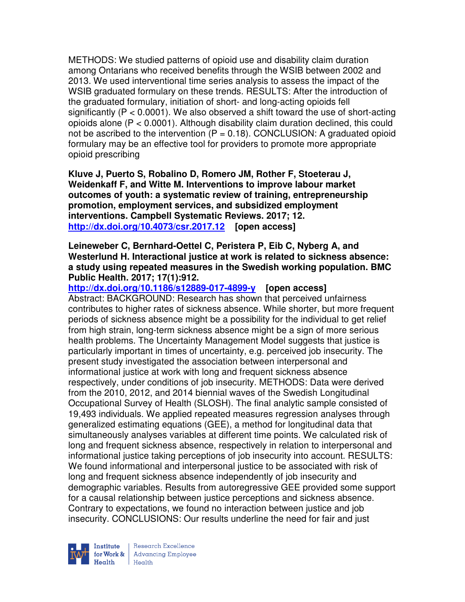METHODS: We studied patterns of opioid use and disability claim duration among Ontarians who received benefits through the WSIB between 2002 and 2013. We used interventional time series analysis to assess the impact of the WSIB graduated formulary on these trends. RESULTS: After the introduction of the graduated formulary, initiation of short- and long-acting opioids fell significantly  $(P < 0.0001)$ . We also observed a shift toward the use of short-acting opioids alone (P < 0.0001). Although disability claim duration declined, this could not be ascribed to the intervention  $(P = 0.18)$ . CONCLUSION: A graduated opioid formulary may be an effective tool for providers to promote more appropriate opioid prescribing

**Kluve J, Puerto S, Robalino D, Romero JM, Rother F, Stoeterau J, Weidenkaff F, and Witte M. Interventions to improve labour market outcomes of youth: a systematic review of training, entrepreneurship promotion, employment services, and subsidized employment interventions. Campbell Systematic Reviews. 2017; 12. http://dx.doi.org/10.4073/csr.2017.12 [open access]** 

**Leineweber C, Bernhard-Oettel C, Peristera P, Eib C, Nyberg A, and Westerlund H. Interactional justice at work is related to sickness absence: a study using repeated measures in the Swedish working population. BMC Public Health. 2017; 17(1):912.** 

**http://dx.doi.org/10.1186/s12889-017-4899-y [open access]** Abstract: BACKGROUND: Research has shown that perceived unfairness contributes to higher rates of sickness absence. While shorter, but more frequent periods of sickness absence might be a possibility for the individual to get relief from high strain, long-term sickness absence might be a sign of more serious health problems. The Uncertainty Management Model suggests that justice is particularly important in times of uncertainty, e.g. perceived job insecurity. The present study investigated the association between interpersonal and informational justice at work with long and frequent sickness absence respectively, under conditions of job insecurity. METHODS: Data were derived from the 2010, 2012, and 2014 biennial waves of the Swedish Longitudinal Occupational Survey of Health (SLOSH). The final analytic sample consisted of 19,493 individuals. We applied repeated measures regression analyses through generalized estimating equations (GEE), a method for longitudinal data that simultaneously analyses variables at different time points. We calculated risk of long and frequent sickness absence, respectively in relation to interpersonal and informational justice taking perceptions of job insecurity into account. RESULTS: We found informational and interpersonal justice to be associated with risk of long and frequent sickness absence independently of job insecurity and demographic variables. Results from autoregressive GEE provided some support for a causal relationship between justice perceptions and sickness absence. Contrary to expectations, we found no interaction between justice and job insecurity. CONCLUSIONS: Our results underline the need for fair and just

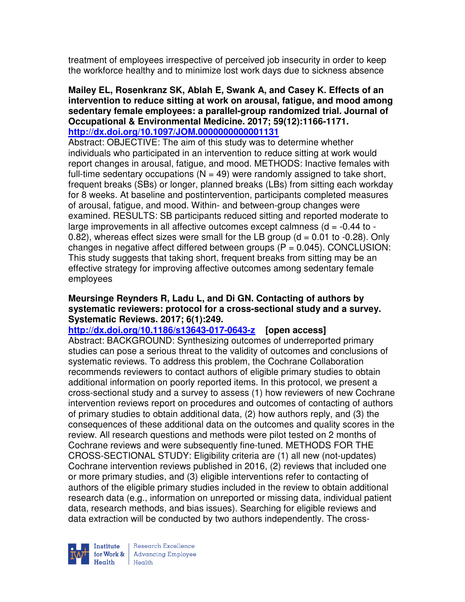treatment of employees irrespective of perceived job insecurity in order to keep the workforce healthy and to minimize lost work days due to sickness absence

#### **Mailey EL, Rosenkranz SK, Ablah E, Swank A, and Casey K. Effects of an intervention to reduce sitting at work on arousal, fatigue, and mood among sedentary female employees: a parallel-group randomized trial. Journal of Occupational & Environmental Medicine. 2017; 59(12):1166-1171. http://dx.doi.org/10.1097/JOM.0000000000001131**

Abstract: OBJECTIVE: The aim of this study was to determine whether individuals who participated in an intervention to reduce sitting at work would report changes in arousal, fatigue, and mood. METHODS: Inactive females with full-time sedentary occupations ( $N = 49$ ) were randomly assigned to take short, frequent breaks (SBs) or longer, planned breaks (LBs) from sitting each workday for 8 weeks. At baseline and postintervention, participants completed measures of arousal, fatigue, and mood. Within- and between-group changes were examined. RESULTS: SB participants reduced sitting and reported moderate to large improvements in all affective outcomes except calmness ( $d = -0.44$  to  $-$ 0.82), whereas effect sizes were small for the LB group  $(d = 0.01$  to  $-0.28)$ . Only changes in negative affect differed between groups  $(P = 0.045)$ . CONCLUSION: This study suggests that taking short, frequent breaks from sitting may be an effective strategy for improving affective outcomes among sedentary female employees

### **Meursinge Reynders R, Ladu L, and Di GN. Contacting of authors by systematic reviewers: protocol for a cross-sectional study and a survey. Systematic Reviews. 2017; 6(1):249.**

# **http://dx.doi.org/10.1186/s13643-017-0643-z [open access]**

Abstract: BACKGROUND: Synthesizing outcomes of underreported primary studies can pose a serious threat to the validity of outcomes and conclusions of systematic reviews. To address this problem, the Cochrane Collaboration recommends reviewers to contact authors of eligible primary studies to obtain additional information on poorly reported items. In this protocol, we present a cross-sectional study and a survey to assess (1) how reviewers of new Cochrane intervention reviews report on procedures and outcomes of contacting of authors of primary studies to obtain additional data, (2) how authors reply, and (3) the consequences of these additional data on the outcomes and quality scores in the review. All research questions and methods were pilot tested on 2 months of Cochrane reviews and were subsequently fine-tuned. METHODS FOR THE CROSS-SECTIONAL STUDY: Eligibility criteria are (1) all new (not-updates) Cochrane intervention reviews published in 2016, (2) reviews that included one or more primary studies, and (3) eligible interventions refer to contacting of authors of the eligible primary studies included in the review to obtain additional research data (e.g., information on unreported or missing data, individual patient data, research methods, and bias issues). Searching for eligible reviews and data extraction will be conducted by two authors independently. The cross-



Research Excellence for Work & | Advancing Employee  $H_{\text{each}}$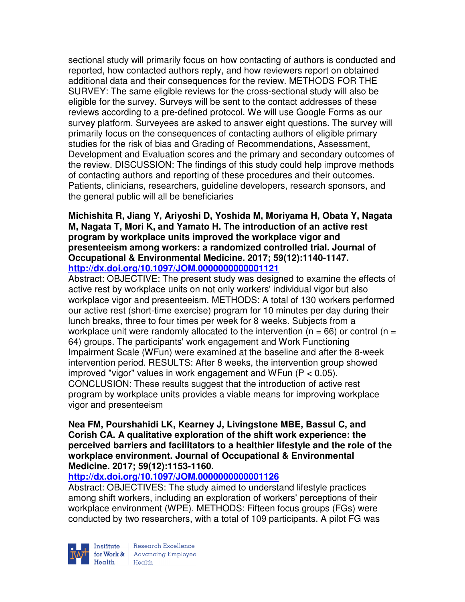sectional study will primarily focus on how contacting of authors is conducted and reported, how contacted authors reply, and how reviewers report on obtained additional data and their consequences for the review. METHODS FOR THE SURVEY: The same eligible reviews for the cross-sectional study will also be eligible for the survey. Surveys will be sent to the contact addresses of these reviews according to a pre-defined protocol. We will use Google Forms as our survey platform. Surveyees are asked to answer eight questions. The survey will primarily focus on the consequences of contacting authors of eligible primary studies for the risk of bias and Grading of Recommendations, Assessment, Development and Evaluation scores and the primary and secondary outcomes of the review. DISCUSSION: The findings of this study could help improve methods of contacting authors and reporting of these procedures and their outcomes. Patients, clinicians, researchers, guideline developers, research sponsors, and the general public will all be beneficiaries

#### **Michishita R, Jiang Y, Ariyoshi D, Yoshida M, Moriyama H, Obata Y, Nagata M, Nagata T, Mori K, and Yamato H. The introduction of an active rest program by workplace units improved the workplace vigor and presenteeism among workers: a randomized controlled trial. Journal of Occupational & Environmental Medicine. 2017; 59(12):1140-1147. http://dx.doi.org/10.1097/JOM.0000000000001121**

Abstract: OBJECTIVE: The present study was designed to examine the effects of active rest by workplace units on not only workers' individual vigor but also workplace vigor and presenteeism. METHODS: A total of 130 workers performed our active rest (short-time exercise) program for 10 minutes per day during their lunch breaks, three to four times per week for 8 weeks. Subjects from a workplace unit were randomly allocated to the intervention ( $n = 66$ ) or control ( $n =$ 64) groups. The participants' work engagement and Work Functioning Impairment Scale (WFun) were examined at the baseline and after the 8-week intervention period. RESULTS: After 8 weeks, the intervention group showed improved "vigor" values in work engagement and WFun (P < 0.05). CONCLUSION: These results suggest that the introduction of active rest program by workplace units provides a viable means for improving workplace vigor and presenteeism

### **Nea FM, Pourshahidi LK, Kearney J, Livingstone MBE, Bassul C, and Corish CA. A qualitative exploration of the shift work experience: the perceived barriers and facilitators to a healthier lifestyle and the role of the workplace environment. Journal of Occupational & Environmental Medicine. 2017; 59(12):1153-1160.**

# **http://dx.doi.org/10.1097/JOM.0000000000001126**

Abstract: OBJECTIVES: The study aimed to understand lifestyle practices among shift workers, including an exploration of workers' perceptions of their workplace environment (WPE). METHODS: Fifteen focus groups (FGs) were conducted by two researchers, with a total of 109 participants. A pilot FG was

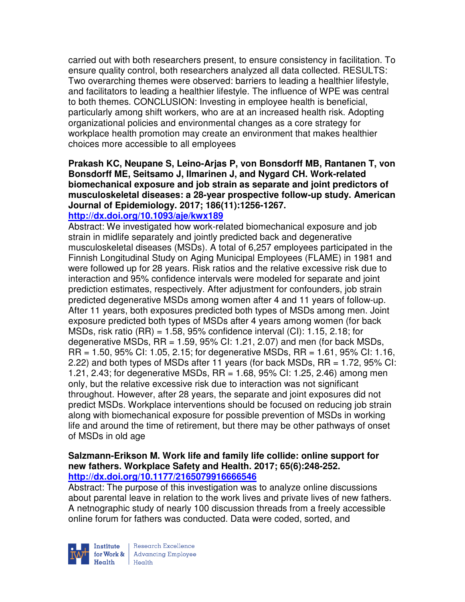carried out with both researchers present, to ensure consistency in facilitation. To ensure quality control, both researchers analyzed all data collected. RESULTS: Two overarching themes were observed: barriers to leading a healthier lifestyle, and facilitators to leading a healthier lifestyle. The influence of WPE was central to both themes. CONCLUSION: Investing in employee health is beneficial, particularly among shift workers, who are at an increased health risk. Adopting organizational policies and environmental changes as a core strategy for workplace health promotion may create an environment that makes healthier choices more accessible to all employees

# **Prakash KC, Neupane S, Leino-Arjas P, von Bonsdorff MB, Rantanen T, von Bonsdorff ME, Seitsamo J, Ilmarinen J, and Nygard CH. Work-related biomechanical exposure and job strain as separate and joint predictors of musculoskeletal diseases: a 28-year prospective follow-up study. American Journal of Epidemiology. 2017; 186(11):1256-1267.**

# **http://dx.doi.org/10.1093/aje/kwx189**

Abstract: We investigated how work-related biomechanical exposure and job strain in midlife separately and jointly predicted back and degenerative musculoskeletal diseases (MSDs). A total of 6,257 employees participated in the Finnish Longitudinal Study on Aging Municipal Employees (FLAME) in 1981 and were followed up for 28 years. Risk ratios and the relative excessive risk due to interaction and 95% confidence intervals were modeled for separate and joint prediction estimates, respectively. After adjustment for confounders, job strain predicted degenerative MSDs among women after 4 and 11 years of follow-up. After 11 years, both exposures predicted both types of MSDs among men. Joint exposure predicted both types of MSDs after 4 years among women (for back MSDs, risk ratio  $(RR) = 1.58$ , 95% confidence interval  $(Cl)$ : 1.15, 2.18; for degenerative MSDs,  $RR = 1.59$ ,  $95\%$  CI: 1.21, 2.07) and men (for back MSDs, RR = 1.50, 95% CI: 1.05, 2.15; for degenerative MSDs, RR = 1.61, 95% CI: 1.16, 2.22) and both types of MSDs after 11 years (for back MSDs, RR = 1.72, 95% CI: 1.21, 2.43; for degenerative MSDs, RR = 1.68, 95% CI: 1.25, 2.46) among men only, but the relative excessive risk due to interaction was not significant throughout. However, after 28 years, the separate and joint exposures did not predict MSDs. Workplace interventions should be focused on reducing job strain along with biomechanical exposure for possible prevention of MSDs in working life and around the time of retirement, but there may be other pathways of onset of MSDs in old age

#### **Salzmann-Erikson M. Work life and family life collide: online support for new fathers. Workplace Safety and Health. 2017; 65(6):248-252. http://dx.doi.org/10.1177/2165079916666546**

Abstract: The purpose of this investigation was to analyze online discussions about parental leave in relation to the work lives and private lives of new fathers. A netnographic study of nearly 100 discussion threads from a freely accessible online forum for fathers was conducted. Data were coded, sorted, and

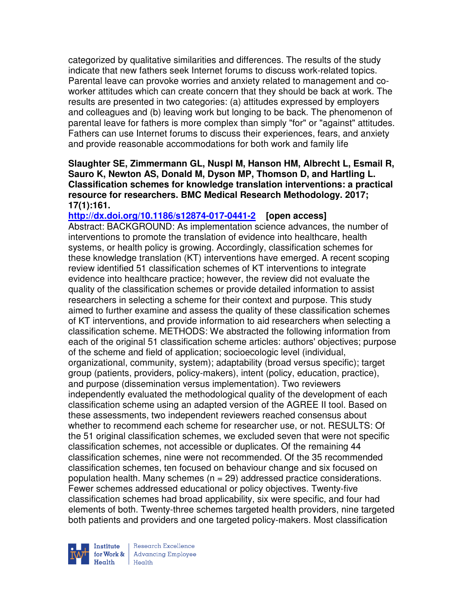categorized by qualitative similarities and differences. The results of the study indicate that new fathers seek Internet forums to discuss work-related topics. Parental leave can provoke worries and anxiety related to management and coworker attitudes which can create concern that they should be back at work. The results are presented in two categories: (a) attitudes expressed by employers and colleagues and (b) leaving work but longing to be back. The phenomenon of parental leave for fathers is more complex than simply "for" or "against" attitudes. Fathers can use Internet forums to discuss their experiences, fears, and anxiety and provide reasonable accommodations for both work and family life

### **Slaughter SE, Zimmermann GL, Nuspl M, Hanson HM, Albrecht L, Esmail R, Sauro K, Newton AS, Donald M, Dyson MP, Thomson D, and Hartling L. Classification schemes for knowledge translation interventions: a practical resource for researchers. BMC Medical Research Methodology. 2017; 17(1):161.**

**http://dx.doi.org/10.1186/s12874-017-0441-2 [open access]** Abstract: BACKGROUND: As implementation science advances, the number of interventions to promote the translation of evidence into healthcare, health systems, or health policy is growing. Accordingly, classification schemes for these knowledge translation (KT) interventions have emerged. A recent scoping review identified 51 classification schemes of KT interventions to integrate evidence into healthcare practice; however, the review did not evaluate the quality of the classification schemes or provide detailed information to assist researchers in selecting a scheme for their context and purpose. This study aimed to further examine and assess the quality of these classification schemes of KT interventions, and provide information to aid researchers when selecting a classification scheme. METHODS: We abstracted the following information from each of the original 51 classification scheme articles: authors' objectives; purpose of the scheme and field of application; socioecologic level (individual, organizational, community, system); adaptability (broad versus specific); target group (patients, providers, policy-makers), intent (policy, education, practice), and purpose (dissemination versus implementation). Two reviewers independently evaluated the methodological quality of the development of each classification scheme using an adapted version of the AGREE II tool. Based on these assessments, two independent reviewers reached consensus about whether to recommend each scheme for researcher use, or not. RESULTS: Of the 51 original classification schemes, we excluded seven that were not specific classification schemes, not accessible or duplicates. Of the remaining 44 classification schemes, nine were not recommended. Of the 35 recommended classification schemes, ten focused on behaviour change and six focused on population health. Many schemes  $(n = 29)$  addressed practice considerations. Fewer schemes addressed educational or policy objectives. Twenty-five classification schemes had broad applicability, six were specific, and four had elements of both. Twenty-three schemes targeted health providers, nine targeted both patients and providers and one targeted policy-makers. Most classification



Research Excellence for Work & | Advancing Employee  $H_{\text{each}}$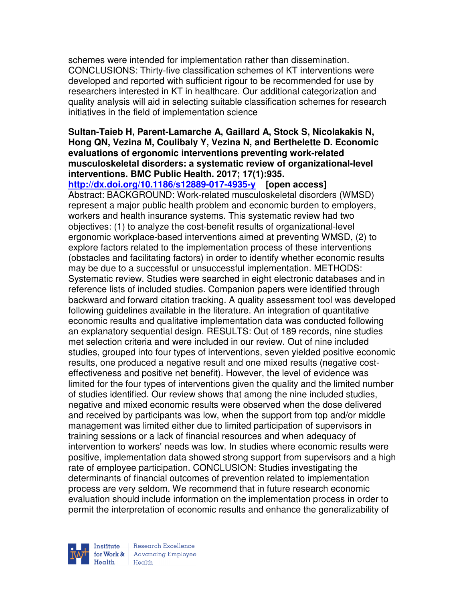schemes were intended for implementation rather than dissemination. CONCLUSIONS: Thirty-five classification schemes of KT interventions were developed and reported with sufficient rigour to be recommended for use by researchers interested in KT in healthcare. Our additional categorization and quality analysis will aid in selecting suitable classification schemes for research initiatives in the field of implementation science

## **Sultan-Taieb H, Parent-Lamarche A, Gaillard A, Stock S, Nicolakakis N, Hong QN, Vezina M, Coulibaly Y, Vezina N, and Berthelette D. Economic evaluations of ergonomic interventions preventing work-related musculoskeletal disorders: a systematic review of organizational-level interventions. BMC Public Health. 2017; 17(1):935.**

**http://dx.doi.org/10.1186/s12889-017-4935-y [open access]**

Abstract: BACKGROUND: Work-related musculoskeletal disorders (WMSD) represent a major public health problem and economic burden to employers, workers and health insurance systems. This systematic review had two objectives: (1) to analyze the cost-benefit results of organizational-level ergonomic workplace-based interventions aimed at preventing WMSD, (2) to explore factors related to the implementation process of these interventions (obstacles and facilitating factors) in order to identify whether economic results may be due to a successful or unsuccessful implementation. METHODS: Systematic review. Studies were searched in eight electronic databases and in reference lists of included studies. Companion papers were identified through backward and forward citation tracking. A quality assessment tool was developed following guidelines available in the literature. An integration of quantitative economic results and qualitative implementation data was conducted following an explanatory sequential design. RESULTS: Out of 189 records, nine studies met selection criteria and were included in our review. Out of nine included studies, grouped into four types of interventions, seven yielded positive economic results, one produced a negative result and one mixed results (negative costeffectiveness and positive net benefit). However, the level of evidence was limited for the four types of interventions given the quality and the limited number of studies identified. Our review shows that among the nine included studies, negative and mixed economic results were observed when the dose delivered and received by participants was low, when the support from top and/or middle management was limited either due to limited participation of supervisors in training sessions or a lack of financial resources and when adequacy of intervention to workers' needs was low. In studies where economic results were positive, implementation data showed strong support from supervisors and a high rate of employee participation. CONCLUSION: Studies investigating the determinants of financial outcomes of prevention related to implementation process are very seldom. We recommend that in future research economic evaluation should include information on the implementation process in order to permit the interpretation of economic results and enhance the generalizability of

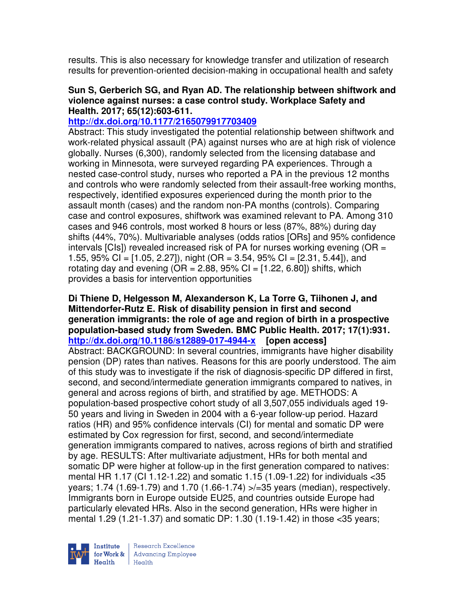results. This is also necessary for knowledge transfer and utilization of research results for prevention-oriented decision-making in occupational health and safety

#### **Sun S, Gerberich SG, and Ryan AD. The relationship between shiftwork and violence against nurses: a case control study. Workplace Safety and Health. 2017; 65(12):603-611.**

## **http://dx.doi.org/10.1177/2165079917703409**

Abstract: This study investigated the potential relationship between shiftwork and work-related physical assault (PA) against nurses who are at high risk of violence globally. Nurses (6,300), randomly selected from the licensing database and working in Minnesota, were surveyed regarding PA experiences. Through a nested case-control study, nurses who reported a PA in the previous 12 months and controls who were randomly selected from their assault-free working months, respectively, identified exposures experienced during the month prior to the assault month (cases) and the random non-PA months (controls). Comparing case and control exposures, shiftwork was examined relevant to PA. Among 310 cases and 946 controls, most worked 8 hours or less (87%, 88%) during day shifts (44%, 70%). Multivariable analyses (odds ratios [ORs] and 95% confidence intervals  $[Cls]$ ) revealed increased risk of PA for nurses working evening  $[OR =$ 1.55, 95% CI =  $[1.05, 2.27]$ , night (OR = 3.54, 95% CI =  $[2.31, 5.44]$ ), and rotating day and evening  $(OR = 2.88, 95\% CI = [1.22, 6.80])$  shifts, which provides a basis for intervention opportunities

### **Di Thiene D, Helgesson M, Alexanderson K, La Torre G, Tiihonen J, and Mittendorfer-Rutz E. Risk of disability pension in first and second generation immigrants: the role of age and region of birth in a prospective population-based study from Sweden. BMC Public Health. 2017; 17(1):931. http://dx.doi.org/10.1186/s12889-017-4944-x [open access]**

Abstract: BACKGROUND: In several countries, immigrants have higher disability pension (DP) rates than natives. Reasons for this are poorly understood. The aim of this study was to investigate if the risk of diagnosis-specific DP differed in first, second, and second/intermediate generation immigrants compared to natives, in general and across regions of birth, and stratified by age. METHODS: A population-based prospective cohort study of all 3,507,055 individuals aged 19- 50 years and living in Sweden in 2004 with a 6-year follow-up period. Hazard ratios (HR) and 95% confidence intervals (CI) for mental and somatic DP were estimated by Cox regression for first, second, and second/intermediate generation immigrants compared to natives, across regions of birth and stratified by age. RESULTS: After multivariate adjustment, HRs for both mental and somatic DP were higher at follow-up in the first generation compared to natives: mental HR 1.17 (CI 1.12-1.22) and somatic 1.15 (1.09-1.22) for individuals <35 years; 1.74 (1.69-1.79) and 1.70 (1.66-1.74) >/=35 years (median), respectively. Immigrants born in Europe outside EU25, and countries outside Europe had particularly elevated HRs. Also in the second generation, HRs were higher in mental 1.29 (1.21-1.37) and somatic DP: 1.30 (1.19-1.42) in those <35 years;

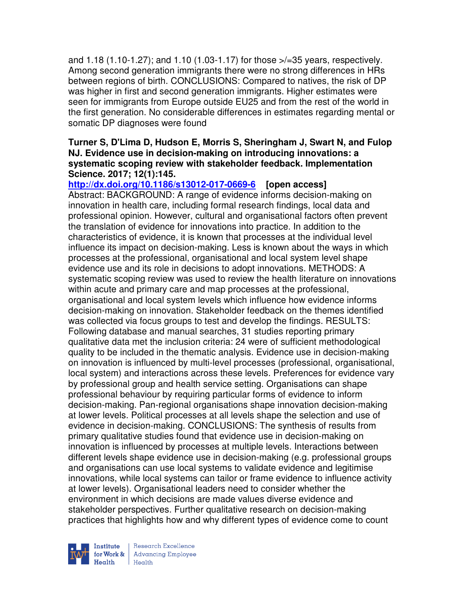and 1.18 (1.10-1.27); and 1.10 (1.03-1.17) for those >/=35 years, respectively. Among second generation immigrants there were no strong differences in HRs between regions of birth. CONCLUSIONS: Compared to natives, the risk of DP was higher in first and second generation immigrants. Higher estimates were seen for immigrants from Europe outside EU25 and from the rest of the world in the first generation. No considerable differences in estimates regarding mental or somatic DP diagnoses were found

#### **Turner S, D'Lima D, Hudson E, Morris S, Sheringham J, Swart N, and Fulop NJ. Evidence use in decision-making on introducing innovations: a systematic scoping review with stakeholder feedback. Implementation Science. 2017; 12(1):145.**

**http://dx.doi.org/10.1186/s13012-017-0669-6 [open access]**

Abstract: BACKGROUND: A range of evidence informs decision-making on innovation in health care, including formal research findings, local data and professional opinion. However, cultural and organisational factors often prevent the translation of evidence for innovations into practice. In addition to the characteristics of evidence, it is known that processes at the individual level influence its impact on decision-making. Less is known about the ways in which processes at the professional, organisational and local system level shape evidence use and its role in decisions to adopt innovations. METHODS: A systematic scoping review was used to review the health literature on innovations within acute and primary care and map processes at the professional, organisational and local system levels which influence how evidence informs decision-making on innovation. Stakeholder feedback on the themes identified was collected via focus groups to test and develop the findings. RESULTS: Following database and manual searches, 31 studies reporting primary qualitative data met the inclusion criteria: 24 were of sufficient methodological quality to be included in the thematic analysis. Evidence use in decision-making on innovation is influenced by multi-level processes (professional, organisational, local system) and interactions across these levels. Preferences for evidence vary by professional group and health service setting. Organisations can shape professional behaviour by requiring particular forms of evidence to inform decision-making. Pan-regional organisations shape innovation decision-making at lower levels. Political processes at all levels shape the selection and use of evidence in decision-making. CONCLUSIONS: The synthesis of results from primary qualitative studies found that evidence use in decision-making on innovation is influenced by processes at multiple levels. Interactions between different levels shape evidence use in decision-making (e.g. professional groups and organisations can use local systems to validate evidence and legitimise innovations, while local systems can tailor or frame evidence to influence activity at lower levels). Organisational leaders need to consider whether the environment in which decisions are made values diverse evidence and stakeholder perspectives. Further qualitative research on decision-making practices that highlights how and why different types of evidence come to count



Research Excellence for Work & | Advancing Employee  $H_{\text{each}}$